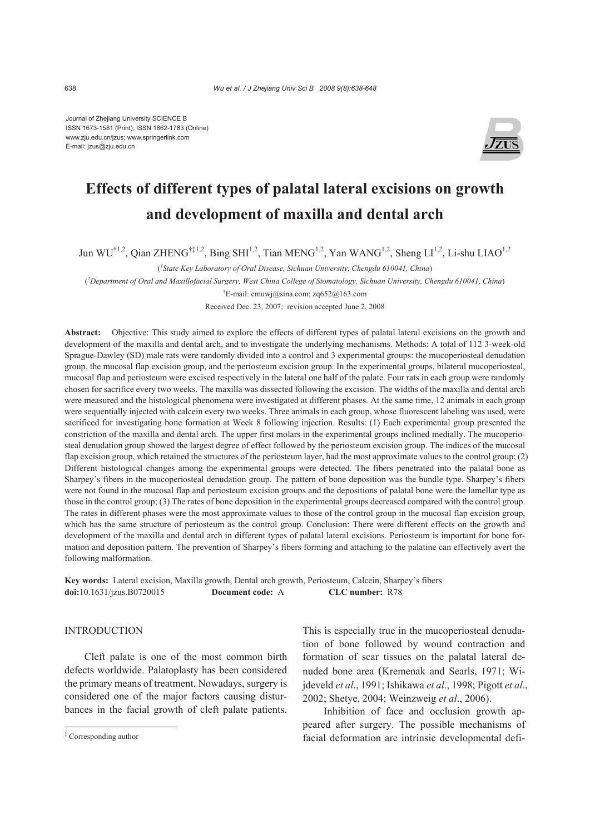Journal of Zhejiang University SCIENCE B ISSN 1673-1581 (Print); ISSN 1862-1783 (Online) www.zju.edu.cn/jzus; www.springerlink.com E-mail: jzus@zju.edu.cn



# **Effects of different types of palatal lateral excisions on growth and development of maxilla and dental arch**

Jun WU<sup>†1,2</sup>, Qian ZHENG<sup>†‡1,2</sup>, Bing SHI<sup>1,2</sup>, Tian MENG<sup>1,2</sup>, Yan WANG<sup>1,2</sup>, Sheng LI<sup>1,2</sup>, Li-shu LIAO<sup>1,2</sup>

( *1 State Key Laboratory of Oral Disease, Sichuan University, Chengdu 610041, China*)

( *2 Department of Oral and Maxillofacial Surgery, West China College of Stomatology, Sichuan University, Chengdu 610041, China*)

† E-mail: cmuwj@sina.com; zq652@163.com

Received Dec. 23, 2007; revision accepted June 2, 2008

**Abstract:** Objective: This study aimed to explore the effects of different types of palatal lateral excisions on the growth and development of the maxilla and dental arch, and to investigate the underlying mechanisms. Methods: A total of 112 3-week-old Sprague-Dawley (SD) male rats were randomly divided into a control and 3 experimental groups: the mucoperiosteal denudation group, the mucosal flap excision group, and the periosteum excision group. In the experimental groups, bilateral mucoperiosteal, mucosal flap and periosteum were excised respectively in the lateral one half of the palate. Four rats in each group were randomly chosen for sacrifice every two weeks. The maxilla was dissected following the excision. The widths of the maxilla and dental arch were measured and the histological phenomena were investigated at different phases. At the same time, 12 animals in each group were sequentially injected with calcein every two weeks. Three animals in each group, whose fluorescent labeling was used, were sacrificed for investigating bone formation at Week 8 following injection. Results: (1) Each experimental group presented the constriction of the maxilla and dental arch. The upper first molars in the experimental groups inclined medially. The mucoperiosteal denudation group showed the largest degree of effect followed by the periosteum excision group. The indices of the mucosal flap excision group, which retained the structures of the periosteum layer, had the most approximate values to the control group; (2) Different histological changes among the experimental groups were detected. The fibers penetrated into the palatal bone as Sharpey's fibers in the mucoperiosteal denudation group. The pattern of bone deposition was the bundle type. Sharpey's fibers were not found in the mucosal flap and periosteum excision groups and the depositions of palatal bone were the lamellar type as those in the control group; (3) The rates of bone deposition in the experimental groups decreased compared with the control group. The rates in different phases were the most approximate values to those of the control group in the mucosal flap excision group, which has the same structure of periosteum as the control group. Conclusion: There were different effects on the growth and development of the maxilla and dental arch in different types of palatal lateral excisions. Periosteum is important for bone formation and deposition pattern. The prevention of Sharpey's fibers forming and attaching to the palatine can effectively avert the following malformation.

**Key words:** Lateral excision, Maxilla growth, Dental arch growth, Periosteum, Calcein, Sharpey's fibers **doi:**10.1631/jzus.B0720015 **Document code:** A **CLC number:** R78

### INTRODUCTION

Cleft palate is one of the most common birth defects worldwide. Palatoplasty has been considered the primary means of treatment. Nowadays, surgery is considered one of the major factors causing disturbances in the facial growth of cleft palate patients.

This is especially true in the mucoperiosteal denudation of bone followed by wound contraction and formation of scar tissues on the palatal lateral denuded bone area (Kremenak and Searls, 1971; Wijdeveld *et al*., 1991; Ishikawa *et al*., 1998; Pigott *et al*., 2002; Shetye, 2004; Weinzweig *et al*., 2006).

Inhibition of face and occlusion growth appeared after surgery. The possible mechanisms of facial deformation are intrinsic developmental defi-

<sup>‡</sup> Corresponding author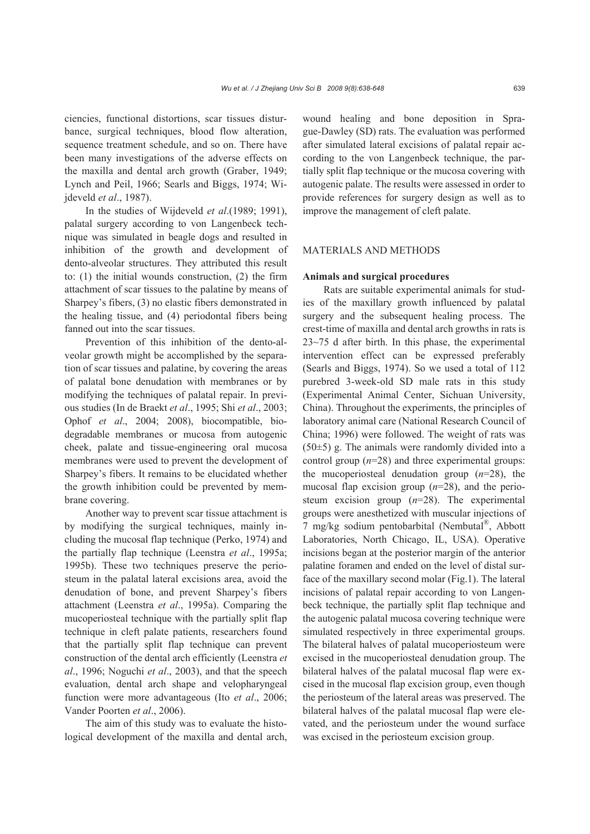ciencies, functional distortions, scar tissues disturbance, surgical techniques, blood flow alteration, sequence treatment schedule, and so on. There have been many investigations of the adverse effects on the maxilla and dental arch growth (Graber, 1949; Lynch and Peil, 1966; Searls and Biggs, 1974; Wijdeveld *et al*., 1987).

In the studies of Wijdeveld *et al*.(1989; 1991), palatal surgery according to von Langenbeck technique was simulated in beagle dogs and resulted in inhibition of the growth and development of dento-alveolar structures. They attributed this result to: (1) the initial wounds construction, (2) the firm attachment of scar tissues to the palatine by means of Sharpey's fibers, (3) no elastic fibers demonstrated in the healing tissue, and (4) periodontal fibers being fanned out into the scar tissues.

Prevention of this inhibition of the dento-alveolar growth might be accomplished by the separation of scar tissues and palatine, by covering the areas of palatal bone denudation with membranes or by modifying the techniques of palatal repair. In previous studies (In de Braekt *et al*., 1995; Shi *et al*., 2003; Ophof *et al*., 2004; 2008), biocompatible, biodegradable membranes or mucosa from autogenic cheek, palate and tissue-engineering oral mucosa membranes were used to prevent the development of Sharpey's fibers. It remains to be elucidated whether the growth inhibition could be prevented by membrane covering.

Another way to prevent scar tissue attachment is by modifying the surgical techniques, mainly including the mucosal flap technique (Perko, 1974) and the partially flap technique (Leenstra *et al*., 1995a; 1995b). These two techniques preserve the periosteum in the palatal lateral excisions area, avoid the denudation of bone, and prevent Sharpey's fibers attachment (Leenstra *et al*., 1995a). Comparing the mucoperiosteal technique with the partially split flap technique in cleft palate patients, researchers found that the partially split flap technique can prevent construction of the dental arch efficiently (Leenstra *et al*., 1996; Noguchi *et al*., 2003), and that the speech evaluation, dental arch shape and velopharyngeal function were more advantageous (Ito *et al*., 2006; Vander Poorten *et al*., 2006).

The aim of this study was to evaluate the histological development of the maxilla and dental arch, wound healing and bone deposition in Sprague-Dawley (SD) rats. The evaluation was performed after simulated lateral excisions of palatal repair according to the von Langenbeck technique, the partially split flap technique or the mucosa covering with autogenic palate. The results were assessed in order to provide references for surgery design as well as to improve the management of cleft palate.

## MATERIALS AND METHODS

# **Animals and surgical procedures**

Rats are suitable experimental animals for studies of the maxillary growth influenced by palatal surgery and the subsequent healing process. The crest-time of maxilla and dental arch growths in rats is 23~75 d after birth. In this phase, the experimental intervention effect can be expressed preferably (Searls and Biggs, 1974). So we used a total of 112 purebred 3-week-old SD male rats in this study (Experimental Animal Center, Sichuan University, China). Throughout the experiments, the principles of laboratory animal care (National Research Council of China; 1996) were followed. The weight of rats was  $(50±5)$  g. The animals were randomly divided into a control group (*n*=28) and three experimental groups: the mucoperiosteal denudation group (*n*=28), the mucosal flap excision group (*n*=28), and the periosteum excision group (*n*=28). The experimental groups were anesthetized with muscular injections of 7 mg/kg sodium pentobarbital (Nembutal®, Abbott Laboratories, North Chicago, IL, USA). Operative incisions began at the posterior margin of the anterior palatine foramen and ended on the level of distal surface of the maxillary second molar (Fig.1). The lateral incisions of palatal repair according to von Langenbeck technique, the partially split flap technique and the autogenic palatal mucosa covering technique were simulated respectively in three experimental groups. The bilateral halves of palatal mucoperiosteum were excised in the mucoperiosteal denudation group. The bilateral halves of the palatal mucosal flap were excised in the mucosal flap excision group, even though the periosteum of the lateral areas was preserved. The bilateral halves of the palatal mucosal flap were elevated, and the periosteum under the wound surface was excised in the periosteum excision group.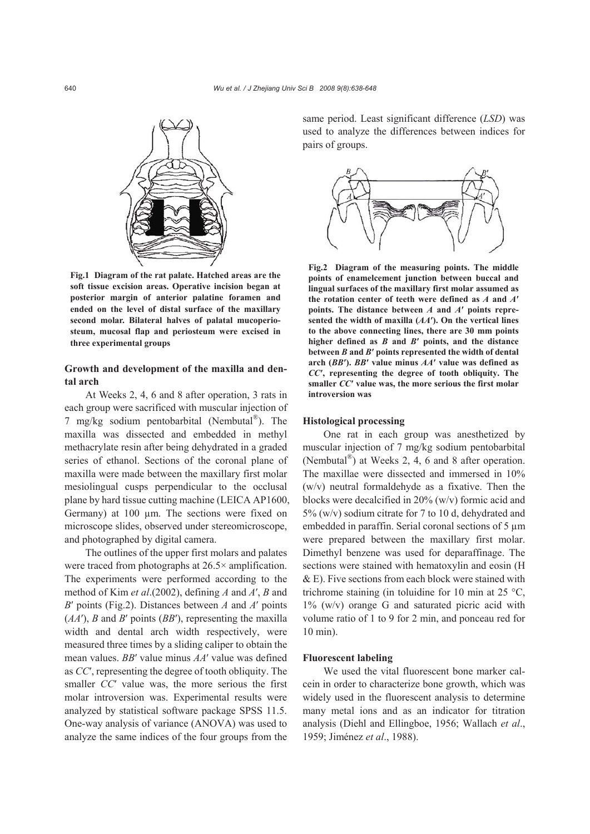

**Fig.1 Diagram of the rat palate. Hatched areas are the soft tissue excision areas. Operative incision began at posterior margin of anterior palatine foramen and ended on the level of distal surface of the maxillary second molar. Bilateral halves of palatal mucoperiosteum, mucosal flap and periosteum were excised in three experimental groups**

# **Growth and development of the maxilla and dental arch**

At Weeks 2, 4, 6 and 8 after operation, 3 rats in each group were sacrificed with muscular injection of 7 mg/kg sodium pentobarbital (Nembutal $^{\circledR}$ ). The maxilla was dissected and embedded in methyl methacrylate resin after being dehydrated in a graded series of ethanol. Sections of the coronal plane of maxilla were made between the maxillary first molar mesiolingual cusps perpendicular to the occlusal plane by hard tissue cutting machine (LEICA AP1600, Germany) at 100 µm. The sections were fixed on microscope slides, observed under stereomicroscope, and photographed by digital camera.

The outlines of the upper first molars and palates were traced from photographs at 26.5× amplification. The experiments were performed according to the method of Kim *et al*.(2002), defining *A* and *A*′, *B* and *B*′ points (Fig.2). Distances between *A* and *A*′ points (*AA*′), *B* and *B*′ points (*BB*′), representing the maxilla width and dental arch width respectively, were measured three times by a sliding caliper to obtain the mean values. *BB*′ value minus *AA*′ value was defined as *CC*′, representing the degree of tooth obliquity. The smaller *CC*′ value was, the more serious the first molar introversion was. Experimental results were analyzed by statistical software package SPSS 11.5. One-way analysis of variance (ANOVA) was used to analyze the same indices of the four groups from the same period. Least significant difference (*LSD*) was used to analyze the differences between indices for pairs of groups.



**Fig.2 Diagram of the measuring points. The middle points of enamelcement junction between buccal and lingual surfaces of the maxillary first molar assumed as the rotation center of teeth were defined as** *A* **and** *A***′ points. The distance between** *A* **and** *A***′ points represented the width of maxilla (***AA***′). On the vertical lines to the above connecting lines, there are 30 mm points higher defined as** *B* **and** *B***′ points, and the distance between** *B* **and** *B***′ points represented the width of dental arch (***BB***′).** *BB***′ value minus** *AA***′ value was defined as** *CC***′, representing the degree of tooth obliquity. The smaller** *CC***′ value was, the more serious the first molar introversion was** 

## **Histological processing**

One rat in each group was anesthetized by muscular injection of 7 mg/kg sodium pentobarbital (Nembutal®) at Weeks 2, 4, 6 and 8 after operation. The maxillae were dissected and immersed in 10% (w/v) neutral formaldehyde as a fixative. Then the blocks were decalcified in 20% (w/v) formic acid and 5% (w/v) sodium citrate for 7 to 10 d, dehydrated and embedded in paraffin. Serial coronal sections of 5  $\mu$ m were prepared between the maxillary first molar. Dimethyl benzene was used for deparaffinage. The sections were stained with hematoxylin and eosin (H & E). Five sections from each block were stained with trichrome staining (in toluidine for 10 min at 25  $^{\circ}$ C,  $1\%$  (w/v) orange G and saturated picric acid with volume ratio of 1 to 9 for 2 min, and ponceau red for 10 min).

#### **Fluorescent labeling**

We used the vital fluorescent bone marker calcein in order to characterize bone growth, which was widely used in the fluorescent analysis to determine many metal ions and as an indicator for titration analysis (Diehl and Ellingboe, 1956; Wallach *et al*., 1959; Jiménez *et al*., 1988).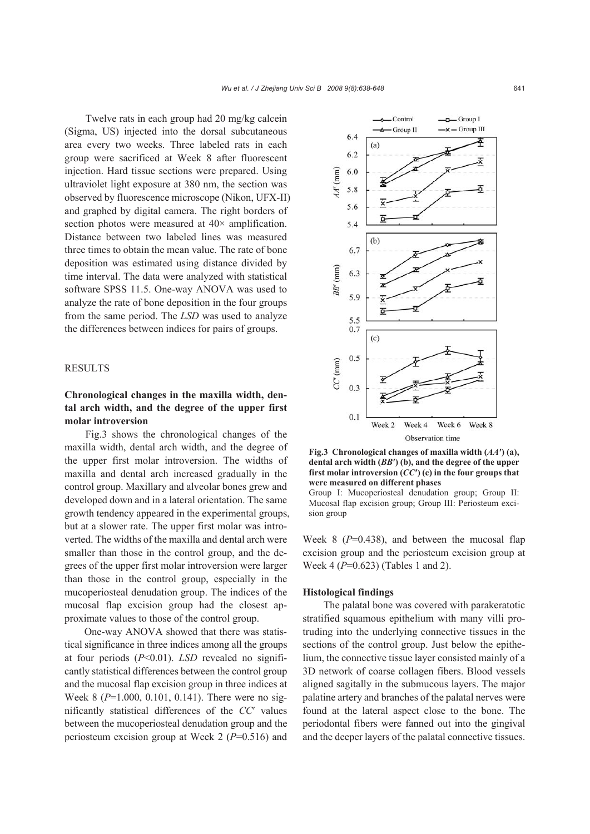Twelve rats in each group had 20 mg/kg calcein (Sigma, US) injected into the dorsal subcutaneous area every two weeks. Three labeled rats in each group were sacrificed at Week 8 after fluorescent injection. Hard tissue sections were prepared. Using ultraviolet light exposure at 380 nm, the section was observed by fluorescence microscope (Nikon, UFX-II) and graphed by digital camera. The right borders of section photos were measured at  $40\times$  amplification. Distance between two labeled lines was measured three times to obtain the mean value. The rate of bone deposition was estimated using distance divided by time interval. The data were analyzed with statistical software SPSS 11.5. One-way ANOVA was used to analyze the rate of bone deposition in the four groups from the same period. The *LSD* was used to analyze the differences between indices for pairs of groups.

# RESULTS

# **Chronological changes in the maxilla width, dental arch width, and the degree of the upper first molar introversion**

Fig.3 shows the chronological changes of the maxilla width, dental arch width, and the degree of the upper first molar introversion. The widths of maxilla and dental arch increased gradually in the control group. Maxillary and alveolar bones grew and developed down and in a lateral orientation. The same growth tendency appeared in the experimental groups, but at a slower rate. The upper first molar was introverted. The widths of the maxilla and dental arch were smaller than those in the control group, and the degrees of the upper first molar introversion were larger than those in the control group, especially in the mucoperiosteal denudation group. The indices of the mucosal flap excision group had the closest approximate values to those of the control group.

One-way ANOVA showed that there was statistical significance in three indices among all the groups at four periods (*P*<0.01). *LSD* revealed no significantly statistical differences between the control group and the mucosal flap excision group in three indices at Week 8 (*P*=1.000, 0.101, 0.141). There were no significantly statistical differences of the *CC*′ values between the mucoperiosteal denudation group and the periosteum excision group at Week 2 (*P*=0.516) and



**Fig.3 Chronological changes of maxilla width (***AA***′) (a), dental arch width (***BB***′) (b), and the degree of the upper first molar introversion (***CC***′) (c) in the four groups that were measured on different phases** 

Group I: Mucoperiosteal denudation group; Group II: Mucosal flap excision group; Group III: Periosteum excision group

Week 8 ( $P=0.438$ ), and between the mucosal flap excision group and the periosteum excision group at Week 4 (*P*=0.623) (Tables 1 and 2).

# **Histological findings**

The palatal bone was covered with parakeratotic stratified squamous epithelium with many villi protruding into the underlying connective tissues in the sections of the control group. Just below the epithelium, the connective tissue layer consisted mainly of a 3D network of coarse collagen fibers. Blood vessels aligned sagitally in the submucous layers. The major palatine artery and branches of the palatal nerves were found at the lateral aspect close to the bone. The periodontal fibers were fanned out into the gingival and the deeper layers of the palatal connective tissues.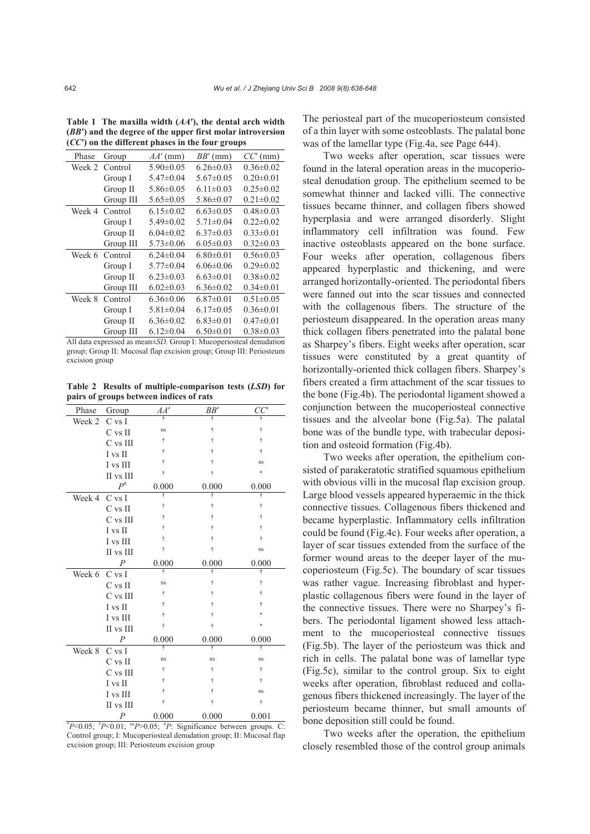| Phase  | Group     | $AA'$ (mm)      | $BB'$ (mm)      | $CC^{\prime}$ (mm) |
|--------|-----------|-----------------|-----------------|--------------------|
| Week 2 | Control   | $5.90 \pm 0.05$ | $6.26 \pm 0.03$ | $0.36 \pm 0.02$    |
|        | Group I   | $5.47 \pm 0.04$ | $5.67 \pm 0.05$ | $0.20 \pm 0.01$    |
|        | Group II  | $5.86 \pm 0.05$ | $6.11 \pm 0.03$ | $0.25 \pm 0.02$    |
|        | Group III | $5.65 \pm 0.05$ | $5.86 \pm 0.07$ | $0.21 \pm 0.02$    |
| Week 4 | Control   | $6.15 \pm 0.02$ | $6.63 \pm 0.05$ | $0.48 \pm 0.03$    |
|        | Group I   | $5.49 \pm 0.02$ | $5.71 \pm 0.04$ | $0.22 \pm 0.02$    |
|        | Group II  | $6.04 \pm 0.02$ | $6.37\pm0.03$   | $0.33 \pm 0.01$    |
|        | Group III | $5.73 \pm 0.06$ | $6.05 \pm 0.03$ | $0.32 \pm 0.03$    |
| Week 6 | Control   | $6.24 \pm 0.04$ | $6.80 \pm 0.01$ | $0.56 \pm 0.03$    |
|        | Group I   | $5.77 \pm 0.04$ | $6.06 \pm 0.06$ | $0.29 \pm 0.02$    |
|        | Group II  | $6.23 \pm 0.03$ | $6.63 \pm 0.01$ | $0.38 \pm 0.02$    |
|        | Group III | $6.02 \pm 0.03$ | $6.36 \pm 0.02$ | $0.34 \pm 0.01$    |
| Week 8 | Control   | $6.36 \pm 0.06$ | $6.87 \pm 0.01$ | $0.51 \pm 0.05$    |
|        | Group I   | $5.81 \pm 0.04$ | $6.17 \pm 0.05$ | $0.36 \pm 0.01$    |
|        | Group II  | $6.36 \pm 0.02$ | $6.83 \pm 0.01$ | $0.47 \pm 0.01$    |
|        | Group III | $6.12 \pm 0.04$ | $6.50 \pm 0.01$ | $0.38 \pm 0.03$    |
|        |           |                 |                 |                    |

**Table 1 The maxilla width (***AA***′), the dental arch width (***BB***′) and the degree of the upper first molar introversion (***CC***′) on the different phases in the four groups**

All data expressed as mean±*SD*. Group I: Mucoperiosteal denudation group; Group II: Mucosal flap excision group; Group III: Periosteum excision group

**Table 2 Results of multiple-comparison tests (***LSD***) for pairs of groups between indices of rats**

| Phase         | Group            | AA'                | BB'                                                                                                  | CC'   |   |
|---------------|------------------|--------------------|------------------------------------------------------------------------------------------------------|-------|---|
| Week 2        | $C$ vs I         |                    | ÷                                                                                                    | Ť     |   |
|               | C vs II          | ns                 | t                                                                                                    | Ť     |   |
|               | C vs III         | Ť                  | t                                                                                                    | Ť     |   |
|               | I vs II          | Ť                  | t                                                                                                    | Ť     |   |
|               | I vs III         | Ť                  | Ť                                                                                                    | ns    |   |
|               | II vs III        | Ť                  | Ť                                                                                                    | ×.    |   |
|               | $P^{\#}$         | 0.000              | 0.000                                                                                                | 0.000 |   |
| Week 4        | $C$ vs I         | ÷                  | ÷                                                                                                    | Ť     |   |
|               | C vs II          | Ť                  |                                                                                                      | Ť     |   |
|               | C vs III         | Ť                  |                                                                                                      | Ť     |   |
|               | I vs II          | Ť                  | ÷                                                                                                    | Ť     |   |
|               | I vs III         | Ť                  | t                                                                                                    | ÷     |   |
|               | II vs III        | Ť                  | Ť                                                                                                    | ns    |   |
|               | $\overline{P}$   | 0.000              | 0.000                                                                                                | 0.000 |   |
| Week 6 C vs I |                  | ÷                  |                                                                                                      | ÷     |   |
|               | $C$ vs II        | ns                 | t                                                                                                    | Ť     |   |
|               | $C$ vs III       | Ť                  | t                                                                                                    | Ť     |   |
|               | I vs II          | Ť                  | Ť                                                                                                    | t     |   |
|               | I vs III         | Ť                  | Ť                                                                                                    |       |   |
|               | II vs III        | Ť                  | $\dagger$                                                                                            |       |   |
|               | $\boldsymbol{P}$ | 0.000              | 0.000                                                                                                | 0.000 |   |
| Week 8        | C vs I           | ÷                  | ÷                                                                                                    | ÷     |   |
|               | $C$ vs II        | ns                 | ns                                                                                                   | ns    |   |
|               | C vs III         | Ť                  | Ť                                                                                                    | Ť     |   |
|               | I vs II          | Ť                  | $\dagger$                                                                                            | Ť     |   |
|               | I vs III         | $\dot{\mathsf{T}}$ | Ť                                                                                                    | ns    |   |
|               | II vs III        | $\dot{\mathsf{T}}$ | Ť                                                                                                    | Ť     |   |
|               | P                | 0.000              | 0.000                                                                                                | 0.001 |   |
|               |                  |                    | $*P<0.05$ ; $^{\dagger}P<0.01$ ; $^{\text{ns}}P>0.05$ ; $^{\dagger}P$ : Significance between groups. |       | C |

Control group; I: Mucoperiosteal denudation group; II: Mucosal flap excision group; III: Periosteum excision group

The periosteal part of the mucoperiosteum consisted of a thin layer with some osteoblasts. The palatal bone was of the lamellar type (Fig.4a, see Page 644).

Two weeks after operation, scar tissues were found in the lateral operation areas in the mucoperiosteal denudation group. The epithelium seemed to be somewhat thinner and lacked villi. The connective tissues became thinner, and collagen fibers showed hyperplasia and were arranged disorderly. Slight inflammatory cell infiltration was found. Few inactive osteoblasts appeared on the bone surface. Four weeks after operation, collagenous fibers appeared hyperplastic and thickening, and were arranged horizontally-oriented. The periodontal fibers were fanned out into the scar tissues and connected with the collagenous fibers. The structure of the periosteum disappeared. In the operation areas many thick collagen fibers penetrated into the palatal bone as Sharpey's fibers. Eight weeks after operation, scar tissues were constituted by a great quantity of horizontally-oriented thick collagen fibers. Sharpey's fibers created a firm attachment of the scar tissues to the bone (Fig.4b). The periodontal ligament showed a conjunction between the mucoperiosteal connective tissues and the alveolar bone (Fig.5a). The palatal bone was of the bundle type, with trabecular deposition and osteoid formation (Fig.4b).

Two weeks after operation, the epithelium consisted of parakeratotic stratified squamous epithelium with obvious villi in the mucosal flap excision group. Large blood vessels appeared hyperaemic in the thick connective tissues. Collagenous fibers thickened and became hyperplastic. Inflammatory cells infiltration could be found (Fig.4c). Four weeks after operation, a layer of scar tissues extended from the surface of the former wound areas to the deeper layer of the mucoperiosteum (Fig.5c). The boundary of scar tissues was rather vague. Increasing fibroblast and hyperplastic collagenous fibers were found in the layer of the connective tissues. There were no Sharpey's fibers. The periodontal ligament showed less attachment to the mucoperiosteal connective tissues (Fig.5b). The layer of the periosteum was thick and rich in cells. The palatal bone was of lamellar type (Fig.5c), similar to the control group. Six to eight weeks after operation, fibroblast reduced and collagenous fibers thickened increasingly. The layer of the periosteum became thinner, but small amounts of bone deposition still could be found.

Two weeks after the operation, the epithelium closely resembled those of the control group animals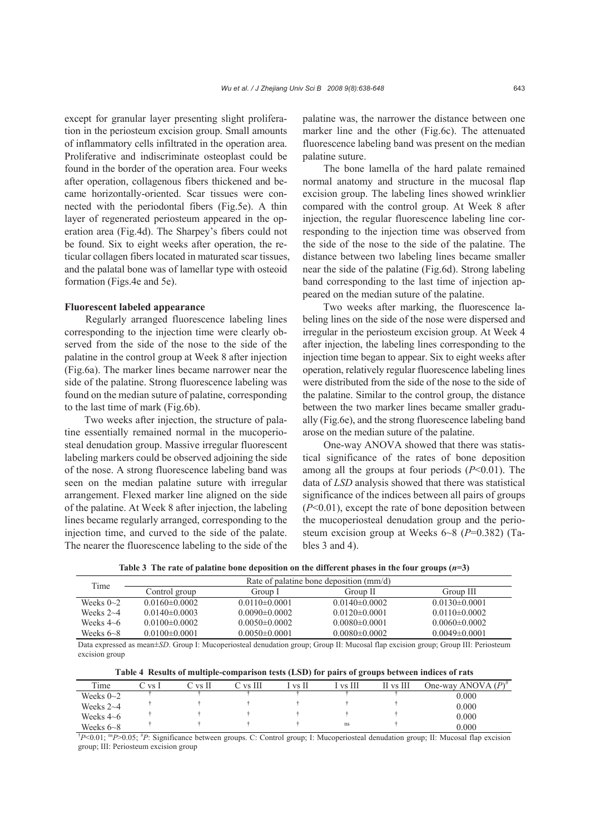except for granular layer presenting slight proliferation in the periosteum excision group. Small amounts of inflammatory cells infiltrated in the operation area. Proliferative and indiscriminate osteoplast could be found in the border of the operation area. Four weeks after operation, collagenous fibers thickened and became horizontally-oriented. Scar tissues were connected with the periodontal fibers (Fig.5e). A thin layer of regenerated periosteum appeared in the operation area (Fig.4d). The Sharpey's fibers could not be found. Six to eight weeks after operation, the reticular collagen fibers located in maturated scar tissues, and the palatal bone was of lamellar type with osteoid formation (Figs.4e and 5e).

## **Fluorescent labeled appearance**

Regularly arranged fluorescence labeling lines corresponding to the injection time were clearly observed from the side of the nose to the side of the palatine in the control group at Week 8 after injection (Fig.6a). The marker lines became narrower near the side of the palatine. Strong fluorescence labeling was found on the median suture of palatine, corresponding to the last time of mark (Fig.6b).

Two weeks after injection, the structure of palatine essentially remained normal in the mucoperiosteal denudation group. Massive irregular fluorescent labeling markers could be observed adjoining the side of the nose. A strong fluorescence labeling band was seen on the median palatine suture with irregular arrangement. Flexed marker line aligned on the side of the palatine. At Week 8 after injection, the labeling lines became regularly arranged, corresponding to the injection time, and curved to the side of the palate. The nearer the fluorescence labeling to the side of the palatine was, the narrower the distance between one marker line and the other (Fig.6c). The attenuated fluorescence labeling band was present on the median palatine suture.

The bone lamella of the hard palate remained normal anatomy and structure in the mucosal flap excision group. The labeling lines showed wrinklier compared with the control group. At Week 8 after injection, the regular fluorescence labeling line corresponding to the injection time was observed from the side of the nose to the side of the palatine. The distance between two labeling lines became smaller near the side of the palatine (Fig.6d). Strong labeling band corresponding to the last time of injection appeared on the median suture of the palatine.

Two weeks after marking, the fluorescence labeling lines on the side of the nose were dispersed and irregular in the periosteum excision group. At Week 4 after injection, the labeling lines corresponding to the injection time began to appear. Six to eight weeks after operation, relatively regular fluorescence labeling lines were distributed from the side of the nose to the side of the palatine. Similar to the control group, the distance between the two marker lines became smaller gradually (Fig.6e), and the strong fluorescence labeling band arose on the median suture of the palatine.

One-way ANOVA showed that there was statistical significance of the rates of bone deposition among all the groups at four periods (*P*<0.01). The data of *LSD* analysis showed that there was statistical significance of the indices between all pairs of groups (*P*<0.01), except the rate of bone deposition between the mucoperiosteal denudation group and the periosteum excision group at Weeks 6~8 (*P*=0.382) (Tables 3 and 4).

Table 3 The rate of palatine bone deposition on the different phases in the four groups  $(n=3)$ 

| Time            | Rate of palatine bone deposition (mm/d) |                   |                     |                   |  |
|-----------------|-----------------------------------------|-------------------|---------------------|-------------------|--|
|                 | Control group                           | Group I           | Group II            | Group III         |  |
| Weeks $0\sim2$  | $0.0160 \pm 0.0002$                     | $0.0110\pm0.0001$ | $0.0140\pm0.0002$   | $0.0130\pm0.0001$ |  |
| Weeks $2\neg 4$ | $0.0140 \pm 0.0003$                     | $0.0090\pm0.0002$ | $0.0120 \pm 0.0001$ | $0.0110\pm0.0002$ |  |
| Weeks $4\neg 6$ | $0.0100\pm0.0002$                       | $0.0050\pm0.0002$ | $0.0080 \pm 0.0001$ | $0.0060\pm0.0002$ |  |
| Weeks $6 - 8$   | $0.0100 \pm 0.0001$                     | $0.0050\pm0.0001$ | $0.0080\pm0.0002$   | $0.0049\pm0.0001$ |  |
|                 |                                         |                   |                     |                   |  |

Data expressed as mean±*SD*. Group I: Mucoperiosteal denudation group; Group II: Mucosal flap excision group; Group III: Periosteum excision group

**Table 4 Results of multiple-comparison tests (LSD) for pairs of groups between indices of rats** 

| Time            | C vs I | 7 vs H | C vs III | vs II | [ vs III | II vs III | One-way ANOVA $(P)^{\#}$                                                                                                                                   |
|-----------------|--------|--------|----------|-------|----------|-----------|------------------------------------------------------------------------------------------------------------------------------------------------------------|
| Weeks $0\sim2$  |        |        |          |       |          |           | 0.000                                                                                                                                                      |
| Weeks $2\neg 4$ |        |        |          |       |          |           | 0.000                                                                                                                                                      |
| Weeks $4\neg 6$ |        |        |          |       |          |           | 0.000                                                                                                                                                      |
| Weeks $6 - 8$   |        |        |          |       | ns       |           | 0.000                                                                                                                                                      |
|                 |        |        |          |       |          |           | P<0.01; <sup>ns</sup> P>0.05; <sup>#</sup> P: Significance between groups. C: Control group; I: Mucoperiosteal denudation group; II: Mucosal flap excision |

group; III: Periosteum excision group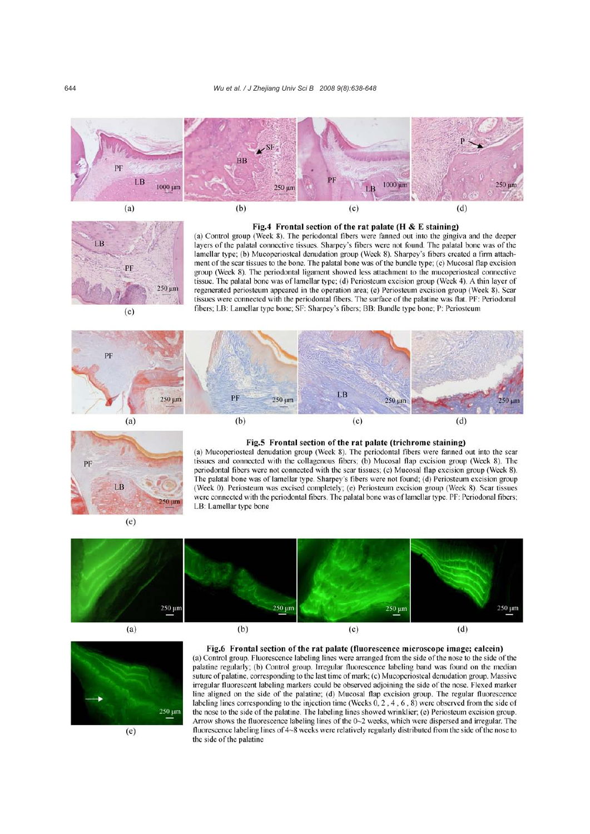









#### Fig.5 Frontal section of the rat palate (trichrome staining)

(a) Mucoperiosteal denudation group (Week 8). The periodontal fibers were fanned out into the scar tissues and connected with the collagenous fibers; (b) Mucosal flap excision group (Week 8). The periodontal fibers were not connected with the scar tissues; (c) Mucosal flap excision group (Week 8). The palatal bone was of lamellar type. Sharpey's fibers were not found; (d) Periosteum excision group (Week 0). Periosteum was excised completely; (e) Periosteum excision group (Week 8). Scar tissues were connected with the periodontal fibers. The palatal bone was of lamellar type. PF: Periodonal fibers; LB: Lamellar type bone

 $(e)$ 







## Fig.6 Frontal section of the rat palate (fluorescence microscope image: calcein)

(a) Control group. Fluorescence labeling lines were arranged from the side of the nose to the side of the palatine regularly; (b) Control group. Irregular fluorescence labeling band was found on the median suture of palatine, corresponding to the last time of mark; (c) Mucoperiosteal denudation group. Massive irregular fluorescent labeling markers could be observed adjoining the side of the nose. Flexed marker line aligned on the side of the palatine; (d) Mucosal flap excision group. The regular fluorescence labeling lines corresponding to the injection time (Weeks  $0, 2, 4, 6, 8$ ) were observed from the side of the nose to the side of the palatine. The labeling lines showed wrinklier; (e) Periosteum excision group. Arrow shows the fluorescence labeling lines of the 0~2 weeks, which were dispersed and irregular. The fluorescence labeling lines of 4~8 weeks were relatively regularly distributed from the side of the nose to the side of the palatine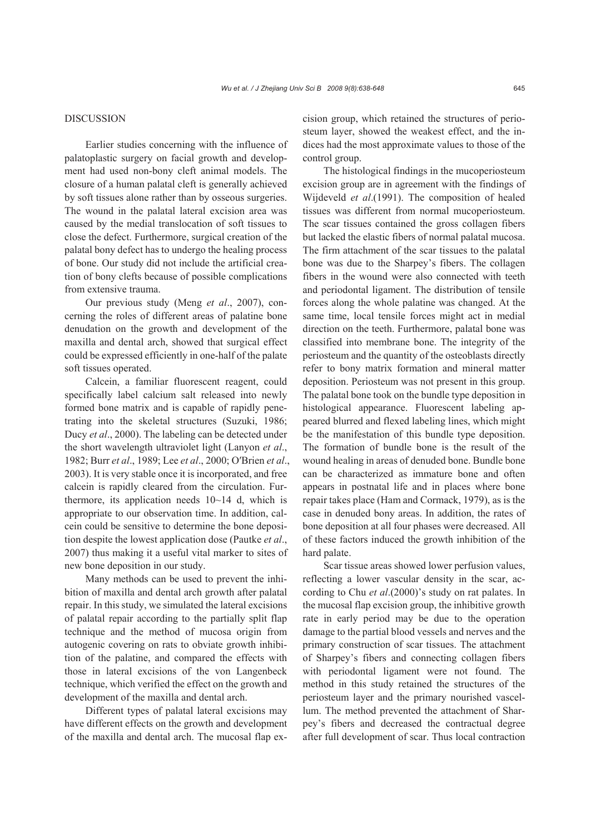# DISCUSSION

Earlier studies concerning with the influence of palatoplastic surgery on facial growth and development had used non-bony cleft animal models. The closure of a human palatal cleft is generally achieved by soft tissues alone rather than by osseous surgeries. The wound in the palatal lateral excision area was caused by the medial translocation of soft tissues to close the defect. Furthermore, surgical creation of the palatal bony defect has to undergo the healing process of bone. Our study did not include the artificial creation of bony clefts because of possible complications from extensive trauma.

Our previous study (Meng *et al*., 2007), concerning the roles of different areas of palatine bone denudation on the growth and development of the maxilla and dental arch, showed that surgical effect could be expressed efficiently in one-half of the palate soft tissues operated.

Calcein, a familiar fluorescent reagent, could specifically label calcium salt released into newly formed bone matrix and is capable of rapidly penetrating into the skeletal structures (Suzuki, 1986; Ducy *et al*., 2000). The labeling can be detected under the short wavelength ultraviolet light (Lanyon *et al*., 1982; Burr *et al*., 1989; Lee *et al*., 2000; O′Brien *et al*., 2003). It is very stable once it is incorporated, and free calcein is rapidly cleared from the circulation. Furthermore, its application needs  $10~14$  d, which is appropriate to our observation time. In addition, calcein could be sensitive to determine the bone deposition despite the lowest application dose (Pautke *et al*., 2007) thus making it a useful vital marker to sites of new bone deposition in our study.

Many methods can be used to prevent the inhibition of maxilla and dental arch growth after palatal repair. In this study, we simulated the lateral excisions of palatal repair according to the partially split flap technique and the method of mucosa origin from autogenic covering on rats to obviate growth inhibition of the palatine, and compared the effects with those in lateral excisions of the von Langenbeck technique, which verified the effect on the growth and development of the maxilla and dental arch.

Different types of palatal lateral excisions may have different effects on the growth and development of the maxilla and dental arch. The mucosal flap excision group, which retained the structures of periosteum layer, showed the weakest effect, and the indices had the most approximate values to those of the control group.

The histological findings in the mucoperiosteum excision group are in agreement with the findings of Wijdeveld *et al*.(1991). The composition of healed tissues was different from normal mucoperiosteum. The scar tissues contained the gross collagen fibers but lacked the elastic fibers of normal palatal mucosa. The firm attachment of the scar tissues to the palatal bone was due to the Sharpey's fibers. The collagen fibers in the wound were also connected with teeth and periodontal ligament. The distribution of tensile forces along the whole palatine was changed. At the same time, local tensile forces might act in medial direction on the teeth. Furthermore, palatal bone was classified into membrane bone. The integrity of the periosteum and the quantity of the osteoblasts directly refer to bony matrix formation and mineral matter deposition. Periosteum was not present in this group. The palatal bone took on the bundle type deposition in histological appearance. Fluorescent labeling appeared blurred and flexed labeling lines, which might be the manifestation of this bundle type deposition. The formation of bundle bone is the result of the wound healing in areas of denuded bone. Bundle bone can be characterized as immature bone and often appears in postnatal life and in places where bone repair takes place (Ham and Cormack, 1979), as is the case in denuded bony areas. In addition, the rates of bone deposition at all four phases were decreased. All of these factors induced the growth inhibition of the hard palate.

Scar tissue areas showed lower perfusion values, reflecting a lower vascular density in the scar, according to Chu *et al*.(2000)'s study on rat palates. In the mucosal flap excision group, the inhibitive growth rate in early period may be due to the operation damage to the partial blood vessels and nerves and the primary construction of scar tissues. The attachment of Sharpey's fibers and connecting collagen fibers with periodontal ligament were not found. The method in this study retained the structures of the periosteum layer and the primary nourished vascellum. The method prevented the attachment of Sharpey's fibers and decreased the contractual degree after full development of scar. Thus local contraction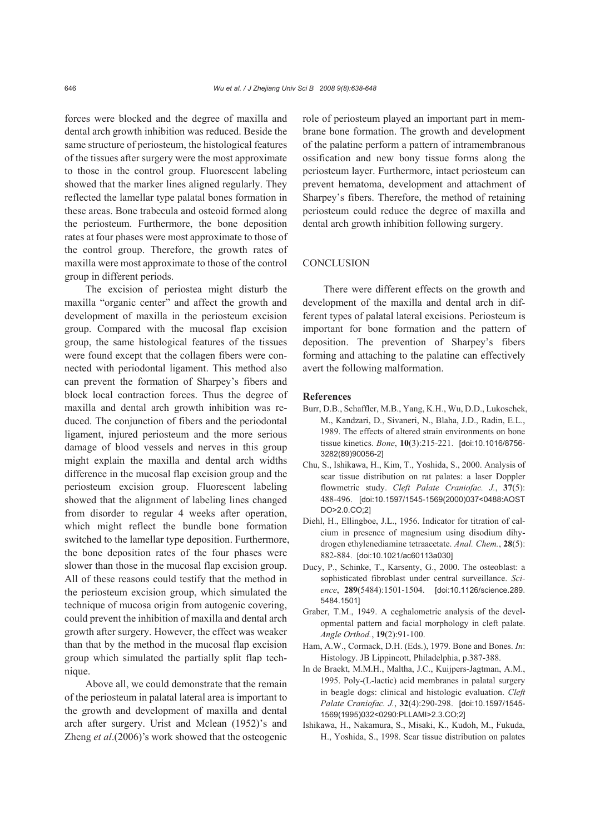forces were blocked and the degree of maxilla and dental arch growth inhibition was reduced. Beside the same structure of periosteum, the histological features of the tissues after surgery were the most approximate to those in the control group. Fluorescent labeling showed that the marker lines aligned regularly. They reflected the lamellar type palatal bones formation in these areas. Bone trabecula and osteoid formed along the periosteum. Furthermore, the bone deposition rates at four phases were most approximate to those of the control group. Therefore, the growth rates of maxilla were most approximate to those of the control group in different periods.

The excision of periostea might disturb the maxilla "organic center" and affect the growth and development of maxilla in the periosteum excision group. Compared with the mucosal flap excision group, the same histological features of the tissues were found except that the collagen fibers were connected with periodontal ligament. This method also can prevent the formation of Sharpey's fibers and block local contraction forces. Thus the degree of maxilla and dental arch growth inhibition was reduced. The conjunction of fibers and the periodontal ligament, injured periosteum and the more serious damage of blood vessels and nerves in this group might explain the maxilla and dental arch widths difference in the mucosal flap excision group and the periosteum excision group. Fluorescent labeling showed that the alignment of labeling lines changed from disorder to regular 4 weeks after operation, which might reflect the bundle bone formation switched to the lamellar type deposition. Furthermore, the bone deposition rates of the four phases were slower than those in the mucosal flap excision group. All of these reasons could testify that the method in the periosteum excision group, which simulated the technique of mucosa origin from autogenic covering, could prevent the inhibition of maxilla and dental arch growth after surgery. However, the effect was weaker than that by the method in the mucosal flap excision group which simulated the partially split flap technique.

Above all, we could demonstrate that the remain of the periosteum in palatal lateral area is important to the growth and development of maxilla and dental arch after surgery. Urist and Mclean (1952)'s and Zheng *et al*.(2006)'s work showed that the osteogenic role of periosteum played an important part in membrane bone formation. The growth and development of the palatine perform a pattern of intramembranous ossification and new bony tissue forms along the periosteum layer. Furthermore, intact periosteum can prevent hematoma, development and attachment of Sharpey's fibers. Therefore, the method of retaining periosteum could reduce the degree of maxilla and dental arch growth inhibition following surgery.

## **CONCLUSION**

There were different effects on the growth and development of the maxilla and dental arch in different types of palatal lateral excisions. Periosteum is important for bone formation and the pattern of deposition. The prevention of Sharpey's fibers forming and attaching to the palatine can effectively avert the following malformation.

## **References**

- Burr, D.B., Schaffler, M.B., Yang, K.H., Wu, D.D., Lukoschek, M., Kandzari, D., Sivaneri, N., Blaha, J.D., Radin, E.L., 1989. The effects of altered strain environments on bone tissue kinetics. *Bone*, **10**(3):215-221. [doi:10.1016/8756- 3282(89)90056-2]
- Chu, S., Ishikawa, H., Kim, T., Yoshida, S., 2000. Analysis of scar tissue distribution on rat palates: a laser Doppler flowmetric study. *Cleft Palate Craniofac. J.*, **37**(5): 488-496. [doi:10.1597/1545-1569(2000)037<0488:AOST DO>2.0.CO;2]
- Diehl, H., Ellingboe, J.L., 1956. Indicator for titration of calcium in presence of magnesium using disodium dihydrogen ethylenediamine tetraacetate. *Anal. Chem.*, **28**(5): 882-884. [doi:10.1021/ac60113a030]
- Ducy, P., Schinke, T., Karsenty, G., 2000. The osteoblast: a sophisticated fibroblast under central surveillance. *Science*, **289**(5484):1501-1504. [doi:10.1126/science.289. 5484.1501]
- Graber, T.M., 1949. A ceghalometric analysis of the developmental pattern and facial morphology in cleft palate. *Angle Orthod.*, **19**(2):91-100.
- Ham, A.W., Cormack, D.H. (Eds.), 1979. Bone and Bones. *In*: Histology. JB Lippincott, Philadelphia, p.387-388.
- In de Braekt, M.M.H., Maltha, J.C., Kuijpers-Jagtman, A.M., 1995. Poly-(L-lactic) acid membranes in palatal surgery in beagle dogs: clinical and histologic evaluation. *Cleft Palate Craniofac. J.*, **32**(4):290-298. [doi:10.1597/1545- 1569(1995)032<0290:PLLAMI>2.3.CO;2]
- Ishikawa, H., Nakamura, S., Misaki, K., Kudoh, M., Fukuda, H., Yoshida, S., 1998. Scar tissue distribution on palates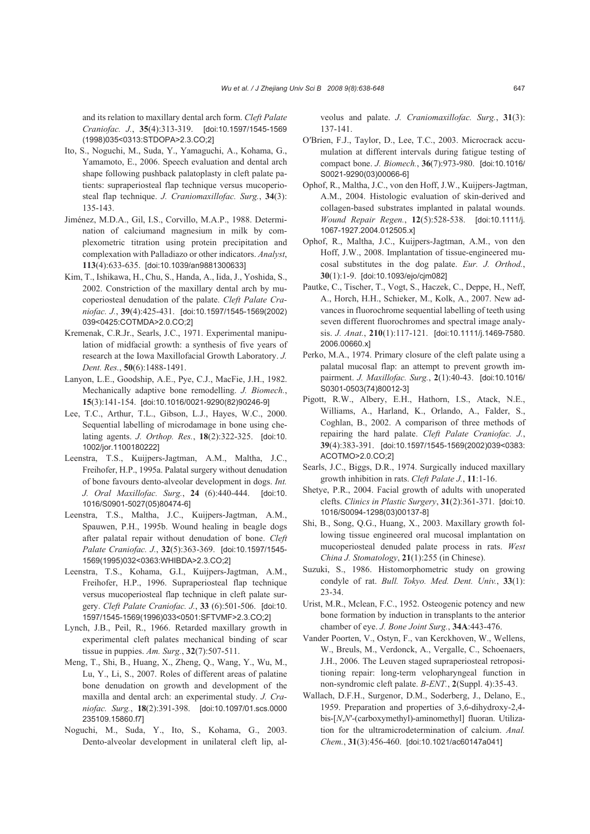and its relation to maxillary dental arch form. *Cleft Palate Craniofac. J.*, **35**(4):313-319. [doi:10.1597/1545-1569 (1998)035<0313:STDOPA>2.3.CO;2]

- Ito, S., Noguchi, M., Suda, Y., Yamaguchi, A., Kohama, G., Yamamoto, E., 2006. Speech evaluation and dental arch shape following pushback palatoplasty in cleft palate patients: supraperiosteal flap technique versus mucoperiosteal flap technique. *J. Craniomaxillofac. Surg.*, **34**(3): 135-143.
- Jiménez, M.D.A., Gil, I.S., Corvillo, M.A.P., 1988. Determination of calciumand magnesium in milk by complexometric titration using protein precipitation and complexation with Palladiazo or other indicators. *Analyst*, **113**(4):633-635. [doi:10.1039/an9881300633]
- Kim, T., Ishikawa, H., Chu, S., Handa, A., Iida, J., Yoshida, S., 2002. Constriction of the maxillary dental arch by mucoperiosteal denudation of the palate. *Cleft Palate Craniofac. J.*, **39**(4):425-431. [doi:10.1597/1545-1569(2002) 039<0425:COTMDA>2.0.CO;2]
- Kremenak, C.R.Jr., Searls, J.C., 1971. Experimental manipulation of midfacial growth: a synthesis of five years of research at the Iowa Maxillofacial Growth Laboratory. *J. Dent. Res.*, **50**(6):1488-1491.
- Lanyon, L.E., Goodship, A.E., Pye, C.J., MacFie, J.H., 1982. Mechanically adaptive bone remodelling. *J. Biomech.*, **15**(3):141-154. [doi:10.1016/0021-9290(82)90246-9]
- Lee, T.C., Arthur, T.L., Gibson, L.J., Hayes, W.C., 2000. Sequential labelling of microdamage in bone using chelating agents. *J. Orthop. Res.*, **18**(2):322-325. [doi:10. 1002/jor.1100180222]
- Leenstra, T.S., Kuijpers-Jagtman, A.M., Maltha, J.C., Freihofer, H.P., 1995a. Palatal surgery without denudation of bone favours dento-alveolar development in dogs. *Int. J. Oral Maxillofac. Surg.*, **24** (6):440-444. [doi:10. 1016/S0901-5027(05)80474-6]
- Leenstra, T.S., Maltha, J.C., Kuijpers-Jagtman, A.M., Spauwen, P.H., 1995b. Wound healing in beagle dogs after palatal repair without denudation of bone. *Cleft Palate Craniofac. J.*, **32**(5):363-369. [doi:10.1597/1545- 1569(1995)032<0363:WHIBDA>2.3.CO;2]
- Leenstra, T.S., Kohama, G.I., Kuijpers-Jagtman, A.M., Freihofer, H.P., 1996. Supraperiosteal flap technique versus mucoperiosteal flap technique in cleft palate surgery. *Cleft Palate Craniofac. J.*, **33** (6):501-506. [doi:10. 1597/1545-1569(1996)033<0501:SFTVMF>2.3.CO;2]
- Lynch, J.B., Peil, R., 1966. Retarded maxillary growth in experimental cleft palates mechanical binding of scar tissue in puppies. *Am. Surg.*, **32**(7):507-511.
- Meng, T., Shi, B., Huang, X., Zheng, Q., Wang, Y., Wu, M., Lu, Y., Li, S., 2007. Roles of different areas of palatine bone denudation on growth and development of the maxilla and dental arch: an experimental study. *J. Craniofac. Surg.*, **18**(2):391-398. [doi:10.1097/01.scs.0000 235109.15860.f7]
- Noguchi, M., Suda, Y., Ito, S., Kohama, G., 2003. Dento-alveolar development in unilateral cleft lip, al-

veolus and palate. *J. Craniomaxillofac. Surg.*, **31**(3): 137-141.

- O′Brien, F.J., Taylor, D., Lee, T.C., 2003. Microcrack accumulation at different intervals during fatigue testing of compact bone. *J. Biomech.*, **36**(7):973-980. [doi:10.1016/ S0021-9290(03)00066-6]
- Ophof, R., Maltha, J.C., von den Hoff, J.W., Kuijpers-Jagtman, A.M., 2004. Histologic evaluation of skin-derived and collagen-based substrates implanted in palatal wounds. *Wound Repair Regen.*, **12**(5):528-538. [doi:10.1111/j. 1067-1927.2004.012505.x]
- Ophof, R., Maltha, J.C., Kuijpers-Jagtman, A.M., von den Hoff, J.W., 2008. Implantation of tissue-engineered mucosal substitutes in the dog palate. *Eur. J. Orthod.*, **30**(1):1-9. [doi:10.1093/ejo/cjm082]
- Pautke, C., Tischer, T., Vogt, S., Haczek, C., Deppe, H., Neff, A., Horch, H.H., Schieker, M., Kolk, A., 2007. New advances in fluorochrome sequential labelling of teeth using seven different fluorochromes and spectral image analysis. *J. Anat.*, **210**(1):117-121. [doi:10.1111/j.1469-7580. 2006.00660.x]
- Perko, M.A., 1974. Primary closure of the cleft palate using a palatal mucosal flap: an attempt to prevent growth impairment. *J. Maxillofac. Surg.*, **2**(1):40-43. [doi:10.1016/ S0301-0503(74)80012-3]
- Pigott, R.W., Albery, E.H., Hathorn, I.S., Atack, N.E., Williams, A., Harland, K., Orlando, A., Falder, S., Coghlan, B., 2002. A comparison of three methods of repairing the hard palate. *Cleft Palate Craniofac. J.*, **39**(4):383-391. [doi:10.1597/1545-1569(2002)039<0383: ACOTMO>2.0.CO;2]
- Searls, J.C., Biggs, D.R., 1974. Surgically induced maxillary growth inhibition in rats. *Cleft Palate J.*, **11**:1-16.
- Shetye, P.R., 2004. Facial growth of adults with unoperated clefts. *Clinics in Plastic Surgery*, **31**(2):361-371. [doi:10. 1016/S0094-1298(03)00137-8]
- Shi, B., Song, Q.G., Huang, X., 2003. Maxillary growth following tissue engineered oral mucosal implantation on mucoperiosteal denuded palate process in rats. *West China J. Stomatology*, **21**(1):255 (in Chinese).
- Suzuki, S., 1986. Histomorphometric study on growing condyle of rat. *Bull. Tokyo. Med. Dent. Univ.*, **33**(1): 23-34.
- Urist, M.R., Mclean, F.C., 1952. Osteogenic potency and new bone formation by induction in transplants to the anterior chamber of eye. *J. Bone Joint Surg.*, **34A**:443-476.
- Vander Poorten, V., Ostyn, F., van Kerckhoven, W., Wellens, W., Breuls, M., Verdonck, A., Vergalle, C., Schoenaers, J.H., 2006. The Leuven staged supraperiosteal retropositioning repair: long-term velopharyngeal function in non-syndromic cleft palate. *B-ENT.*, **2**(Suppl. 4):35-43.
- Wallach, D.F.H., Surgenor, D.M., Soderberg, J., Delano, E., 1959. Preparation and properties of 3,6-dihydroxy-2,4 bis-[*N*,*N*′-(carboxymethyl)-aminomethyl] fluoran. Utilization for the ultramicrodetermination of calcium. *Anal. Chem.*, **31**(3):456-460. [doi:10.1021/ac60147a041]